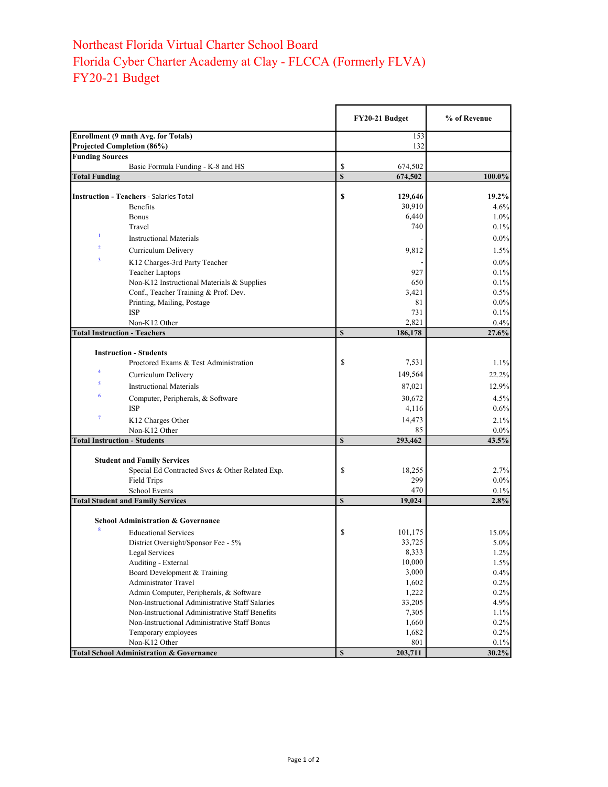## Northeast Florida Virtual Charter School Board Florida Cyber Charter Academy at Clay - FLCCA (Formerly FLVA) FY20-21 Budget

|                                                                          |                                                     |             | FY20-21 Budget | % of Revenue |
|--------------------------------------------------------------------------|-----------------------------------------------------|-------------|----------------|--------------|
| <b>Enrollment (9 mnth Avg. for Totals)</b><br>Projected Completion (86%) |                                                     |             | 153<br>132     |              |
| <b>Funding Sources</b>                                                   |                                                     |             |                |              |
|                                                                          | Basic Formula Funding - K-8 and HS                  | \$          | 674,502        |              |
| <b>Total Funding</b>                                                     |                                                     | $\mathbf S$ | 674,502        | 100.0%       |
|                                                                          |                                                     |             |                |              |
|                                                                          | <b>Instruction - Teachers - Salaries Total</b>      | \$          | 129,646        | $19.2\%$     |
|                                                                          | Benefits                                            |             | 30,910         | 4.6%         |
|                                                                          | <b>Bonus</b>                                        |             | 6,440          | 1.0%         |
| 1                                                                        | Travel                                              |             | 740            | 0.1%         |
|                                                                          | <b>Instructional Materials</b>                      |             |                | $0.0\%$      |
| $\overline{2}$                                                           | Curriculum Delivery                                 |             | 9,812          | 1.5%         |
| $\overline{\mathbf{3}}$                                                  | K12 Charges-3rd Party Teacher                       |             |                | $0.0\%$      |
|                                                                          | <b>Teacher Laptops</b>                              |             | 927            | 0.1%         |
|                                                                          | Non-K12 Instructional Materials & Supplies          |             | 650            | 0.1%         |
|                                                                          | Conf., Teacher Training & Prof. Dev.                |             | 3,421          | 0.5%         |
|                                                                          | Printing, Mailing, Postage                          |             | 81             | $0.0\%$      |
|                                                                          | <b>ISP</b>                                          |             | 731            | 0.1%         |
|                                                                          | Non-K12 Other                                       |             | 2,821          | 0.4%         |
| <b>Total Instruction - Teachers</b>                                      |                                                     | $\mathbf S$ | 186,178        | 27.6%        |
|                                                                          |                                                     |             |                |              |
|                                                                          | <b>Instruction - Students</b>                       |             |                |              |
|                                                                          | Proctored Exams & Test Administration               | \$          | 7,531          | 1.1%         |
| $\overline{\mathbf{4}}$                                                  | Curriculum Delivery                                 |             | 149,564        | 22.2%        |
| 5                                                                        | <b>Instructional Materials</b>                      |             | 87,021         | 12.9%        |
| 6                                                                        | Computer, Peripherals, & Software                   |             | 30,672         | 4.5%         |
|                                                                          | <b>ISP</b>                                          |             | 4,116          | 0.6%         |
| $\overline{7}$                                                           | K12 Charges Other                                   |             | 14,473         | 2.1%         |
|                                                                          | Non-K12 Other                                       |             | 85             | $0.0\%$      |
| <b>Total Instruction - Students</b>                                      |                                                     | $\mathbf S$ | 293,462        | 43.5%        |
|                                                                          |                                                     |             |                |              |
|                                                                          | <b>Student and Family Services</b>                  |             |                |              |
|                                                                          | Special Ed Contracted Svcs & Other Related Exp.     | \$          | 18,255         | 2.7%         |
|                                                                          | Field Trips                                         |             | 299            | $0.0\%$      |
|                                                                          | <b>School Events</b>                                |             | 470            | 0.1%         |
|                                                                          | <b>Total Student and Family Services</b>            | $\mathbf S$ | 19,024         | 2.8%         |
|                                                                          |                                                     |             |                |              |
|                                                                          | <b>School Administration &amp; Governance</b>       |             |                |              |
| 8                                                                        | <b>Educational Services</b>                         | \$          | 101,175        | 15.0%        |
|                                                                          | District Oversight/Sponsor Fee - 5%                 |             | 33,725         | 5.0%         |
|                                                                          | Legal Services                                      |             | 8,333          | 1.2%         |
|                                                                          | Auditing - External                                 |             | 10,000         | 1.5%         |
|                                                                          | Board Development & Training                        |             | 3,000          | 0.4%         |
|                                                                          | <b>Administrator Travel</b>                         |             | 1,602          | 0.2%         |
|                                                                          | Admin Computer, Peripherals, & Software             |             | 1,222          | 0.2%         |
|                                                                          | Non-Instructional Administrative Staff Salaries     |             | 33,205         | 4.9%         |
|                                                                          | Non-Instructional Administrative Staff Benefits     |             | 7,305          | 1.1%         |
|                                                                          | Non-Instructional Administrative Staff Bonus        |             | 1,660          | 0.2%         |
|                                                                          | Temporary employees                                 |             | 1,682          | 0.2%         |
|                                                                          | Non-K12 Other                                       |             | 801            | 0.1%         |
|                                                                          | <b>Total School Administration &amp; Governance</b> | $\mathbb S$ | 203,711        | 30.2%        |